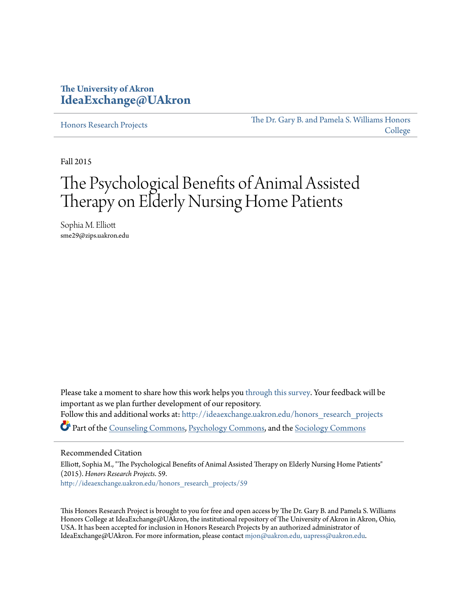# **The University of Akron [IdeaExchange@UAkron](http://ideaexchange.uakron.edu?utm_source=ideaexchange.uakron.edu%2Fhonors_research_projects%2F59&utm_medium=PDF&utm_campaign=PDFCoverPages)**

[Honors Research Projects](http://ideaexchange.uakron.edu/honors_research_projects?utm_source=ideaexchange.uakron.edu%2Fhonors_research_projects%2F59&utm_medium=PDF&utm_campaign=PDFCoverPages)

[The Dr. Gary B. and Pamela S. Williams Honors](http://ideaexchange.uakron.edu/honorscollege_ideas?utm_source=ideaexchange.uakron.edu%2Fhonors_research_projects%2F59&utm_medium=PDF&utm_campaign=PDFCoverPages) [College](http://ideaexchange.uakron.edu/honorscollege_ideas?utm_source=ideaexchange.uakron.edu%2Fhonors_research_projects%2F59&utm_medium=PDF&utm_campaign=PDFCoverPages)

Fall 2015

# The Psychological Benefits of Animal Assisted Therapy on Elderly Nursing Home Patients

Sophia M. Elliott sme29@zips.uakron.edu

Please take a moment to share how this work helps you [through this survey.](http://survey.az1.qualtrics.com/SE/?SID=SV_eEVH54oiCbOw05f&URL=http://ideaexchange.uakron.edu/honors_research_projects/59) Your feedback will be important as we plan further development of our repository. Follow this and additional works at: [http://ideaexchange.uakron.edu/honors\\_research\\_projects](http://ideaexchange.uakron.edu/honors_research_projects?utm_source=ideaexchange.uakron.edu%2Fhonors_research_projects%2F59&utm_medium=PDF&utm_campaign=PDFCoverPages) Part of the [Counseling Commons](http://network.bepress.com/hgg/discipline/1268?utm_source=ideaexchange.uakron.edu%2Fhonors_research_projects%2F59&utm_medium=PDF&utm_campaign=PDFCoverPages), [Psychology Commons,](http://network.bepress.com/hgg/discipline/404?utm_source=ideaexchange.uakron.edu%2Fhonors_research_projects%2F59&utm_medium=PDF&utm_campaign=PDFCoverPages) and the [Sociology Commons](http://network.bepress.com/hgg/discipline/416?utm_source=ideaexchange.uakron.edu%2Fhonors_research_projects%2F59&utm_medium=PDF&utm_campaign=PDFCoverPages)

#### Recommended Citation

Elliott, Sophia M., "The Psychological Benefits of Animal Assisted Therapy on Elderly Nursing Home Patients" (2015). *Honors Research Projects*. 59. [http://ideaexchange.uakron.edu/honors\\_research\\_projects/59](http://ideaexchange.uakron.edu/honors_research_projects/59?utm_source=ideaexchange.uakron.edu%2Fhonors_research_projects%2F59&utm_medium=PDF&utm_campaign=PDFCoverPages)

This Honors Research Project is brought to you for free and open access by The Dr. Gary B. and Pamela S. Williams Honors College at IdeaExchange@UAkron, the institutional repository of The University of Akron in Akron, Ohio, USA. It has been accepted for inclusion in Honors Research Projects by an authorized administrator of IdeaExchange@UAkron. For more information, please contact [mjon@uakron.edu, uapress@uakron.edu](mailto:mjon@uakron.edu,%20uapress@uakron.edu).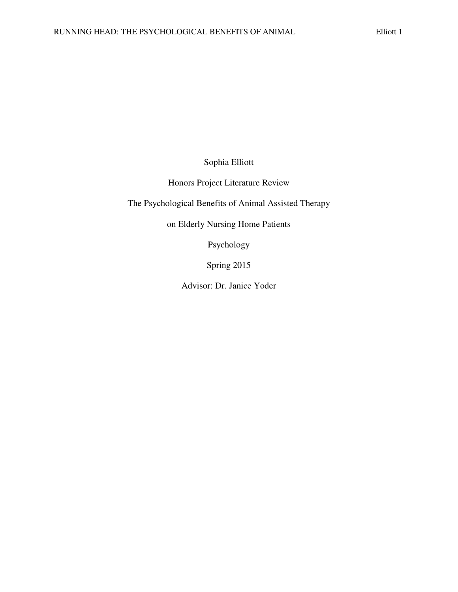Sophia Elliott

Honors Project Literature Review

The Psychological Benefits of Animal Assisted Therapy

on Elderly Nursing Home Patients

Psychology

Spring 2015

Advisor: Dr. Janice Yoder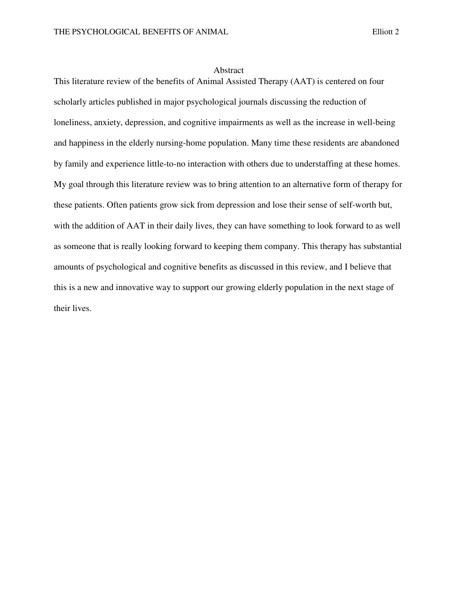#### Abstract

This literature review of the benefits of Animal Assisted Therapy (AAT) is centered on four scholarly articles published in major psychological journals discussing the reduction of loneliness, anxiety, depression, and cognitive impairments as well as the increase in well-being and happiness in the elderly nursing-home population. Many time these residents are abandoned by family and experience little-to-no interaction with others due to understaffing at these homes. My goal through this literature review was to bring attention to an alternative form of therapy for these patients. Often patients grow sick from depression and lose their sense of self-worth but, with the addition of AAT in their daily lives, they can have something to look forward to as well as someone that is really looking forward to keeping them company. This therapy has substantial amounts of psychological and cognitive benefits as discussed in this review, and I believe that this is a new and innovative way to support our growing elderly population in the next stage of their lives.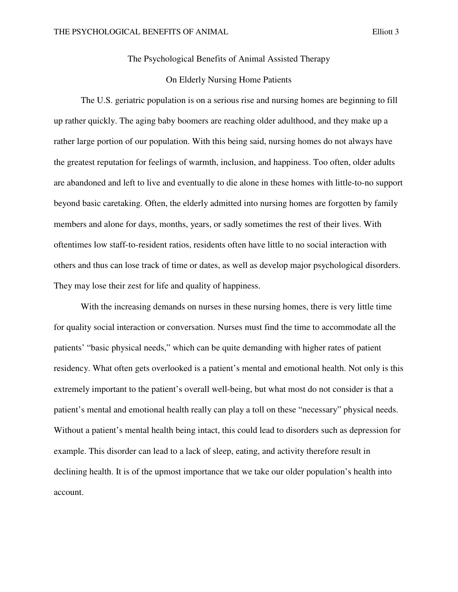The Psychological Benefits of Animal Assisted Therapy

## On Elderly Nursing Home Patients

The U.S. geriatric population is on a serious rise and nursing homes are beginning to fill up rather quickly. The aging baby boomers are reaching older adulthood, and they make up a rather large portion of our population. With this being said, nursing homes do not always have the greatest reputation for feelings of warmth, inclusion, and happiness. Too often, older adults are abandoned and left to live and eventually to die alone in these homes with little-to-no support beyond basic caretaking. Often, the elderly admitted into nursing homes are forgotten by family members and alone for days, months, years, or sadly sometimes the rest of their lives. With oftentimes low staff-to-resident ratios, residents often have little to no social interaction with others and thus can lose track of time or dates, as well as develop major psychological disorders. They may lose their zest for life and quality of happiness.

With the increasing demands on nurses in these nursing homes, there is very little time for quality social interaction or conversation. Nurses must find the time to accommodate all the patients' "basic physical needs," which can be quite demanding with higher rates of patient residency. What often gets overlooked is a patient's mental and emotional health. Not only is this extremely important to the patient's overall well-being, but what most do not consider is that a patient's mental and emotional health really can play a toll on these "necessary" physical needs. Without a patient's mental health being intact, this could lead to disorders such as depression for example. This disorder can lead to a lack of sleep, eating, and activity therefore result in declining health. It is of the upmost importance that we take our older population's health into account.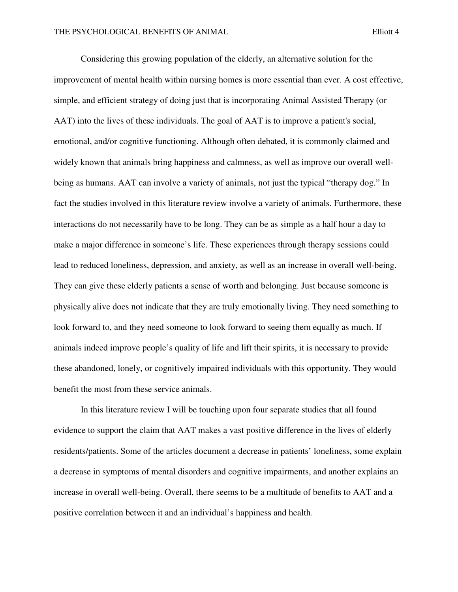Considering this growing population of the elderly, an alternative solution for the improvement of mental health within nursing homes is more essential than ever. A cost effective, simple, and efficient strategy of doing just that is incorporating Animal Assisted Therapy (or AAT) into the lives of these individuals. The goal of AAT is to improve a patient's social, emotional, and/or cognitive functioning. Although often debated, it is commonly claimed and widely known that animals bring happiness and calmness, as well as improve our overall wellbeing as humans. AAT can involve a variety of animals, not just the typical "therapy dog." In fact the studies involved in this literature review involve a variety of animals. Furthermore, these interactions do not necessarily have to be long. They can be as simple as a half hour a day to make a major difference in someone's life. These experiences through therapy sessions could lead to reduced loneliness, depression, and anxiety, as well as an increase in overall well-being. They can give these elderly patients a sense of worth and belonging. Just because someone is physically alive does not indicate that they are truly emotionally living. They need something to look forward to, and they need someone to look forward to seeing them equally as much. If animals indeed improve people's quality of life and lift their spirits, it is necessary to provide these abandoned, lonely, or cognitively impaired individuals with this opportunity. They would benefit the most from these service animals.

 In this literature review I will be touching upon four separate studies that all found evidence to support the claim that AAT makes a vast positive difference in the lives of elderly residents/patients. Some of the articles document a decrease in patients' loneliness, some explain a decrease in symptoms of mental disorders and cognitive impairments, and another explains an increase in overall well-being. Overall, there seems to be a multitude of benefits to AAT and a positive correlation between it and an individual's happiness and health.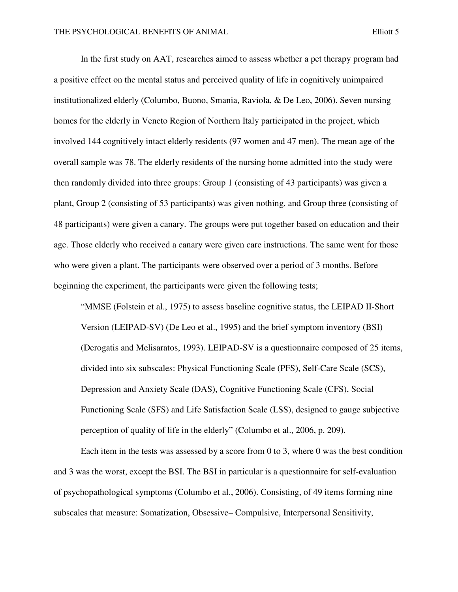In the first study on AAT, researches aimed to assess whether a pet therapy program had a positive effect on the mental status and perceived quality of life in cognitively unimpaired institutionalized elderly (Columbo, Buono, Smania, Raviola, & De Leo, 2006). Seven nursing homes for the elderly in Veneto Region of Northern Italy participated in the project, which involved 144 cognitively intact elderly residents (97 women and 47 men). The mean age of the overall sample was 78. The elderly residents of the nursing home admitted into the study were then randomly divided into three groups: Group 1 (consisting of 43 participants) was given a plant, Group 2 (consisting of 53 participants) was given nothing, and Group three (consisting of 48 participants) were given a canary. The groups were put together based on education and their age. Those elderly who received a canary were given care instructions. The same went for those who were given a plant. The participants were observed over a period of 3 months. Before beginning the experiment, the participants were given the following tests;

"MMSE (Folstein et al., 1975) to assess baseline cognitive status, the LEIPAD II-Short Version (LEIPAD-SV) (De Leo et al., 1995) and the brief symptom inventory (BSI) (Derogatis and Melisaratos, 1993). LEIPAD-SV is a questionnaire composed of 25 items, divided into six subscales: Physical Functioning Scale (PFS), Self-Care Scale (SCS), Depression and Anxiety Scale (DAS), Cognitive Functioning Scale (CFS), Social Functioning Scale (SFS) and Life Satisfaction Scale (LSS), designed to gauge subjective perception of quality of life in the elderly" (Columbo et al., 2006, p. 209).

Each item in the tests was assessed by a score from 0 to 3, where 0 was the best condition and 3 was the worst, except the BSI. The BSI in particular is a questionnaire for self-evaluation of psychopathological symptoms (Columbo et al., 2006). Consisting, of 49 items forming nine subscales that measure: Somatization, Obsessive– Compulsive, Interpersonal Sensitivity,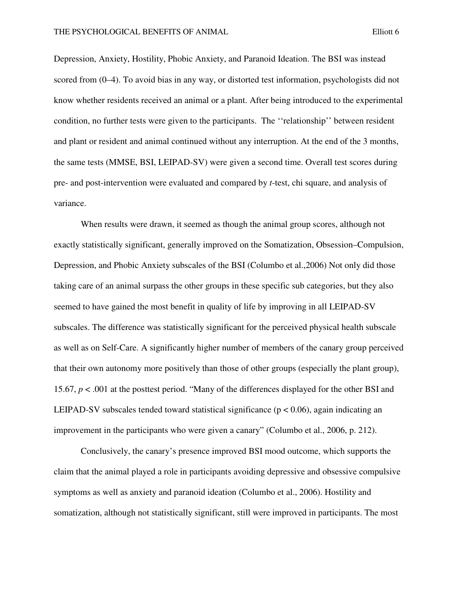Depression, Anxiety, Hostility, Phobic Anxiety, and Paranoid Ideation. The BSI was instead scored from (0–4). To avoid bias in any way, or distorted test information, psychologists did not know whether residents received an animal or a plant. After being introduced to the experimental condition, no further tests were given to the participants. The ''relationship'' between resident and plant or resident and animal continued without any interruption. At the end of the 3 months, the same tests (MMSE, BSI, LEIPAD-SV) were given a second time. Overall test scores during pre- and post-intervention were evaluated and compared by *t*-test, chi square, and analysis of variance.

When results were drawn, it seemed as though the animal group scores, although not exactly statistically significant, generally improved on the Somatization, Obsession–Compulsion, Depression, and Phobic Anxiety subscales of the BSI (Columbo et al.,2006) Not only did those taking care of an animal surpass the other groups in these specific sub categories, but they also seemed to have gained the most benefit in quality of life by improving in all LEIPAD-SV subscales. The difference was statistically significant for the perceived physical health subscale as well as on Self-Care. A significantly higher number of members of the canary group perceived that their own autonomy more positively than those of other groups (especially the plant group), 15.67, *p* < .001 at the posttest period. "Many of the differences displayed for the other BSI and LEIPAD-SV subscales tended toward statistical significance ( $p < 0.06$ ), again indicating an improvement in the participants who were given a canary" (Columbo et al., 2006, p. 212).

Conclusively, the canary's presence improved BSI mood outcome, which supports the claim that the animal played a role in participants avoiding depressive and obsessive compulsive symptoms as well as anxiety and paranoid ideation (Columbo et al., 2006). Hostility and somatization, although not statistically significant, still were improved in participants. The most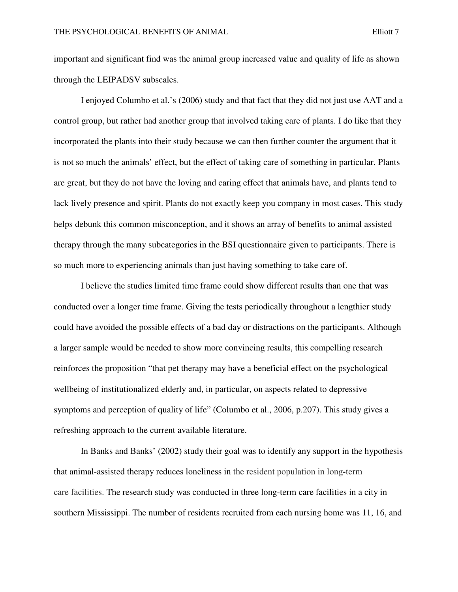important and significant find was the animal group increased value and quality of life as shown through the LEIPADSV subscales.

I enjoyed Columbo et al.'s (2006) study and that fact that they did not just use AAT and a control group, but rather had another group that involved taking care of plants. I do like that they incorporated the plants into their study because we can then further counter the argument that it is not so much the animals' effect, but the effect of taking care of something in particular. Plants are great, but they do not have the loving and caring effect that animals have, and plants tend to lack lively presence and spirit. Plants do not exactly keep you company in most cases. This study helps debunk this common misconception, and it shows an array of benefits to animal assisted therapy through the many subcategories in the BSI questionnaire given to participants. There is so much more to experiencing animals than just having something to take care of.

I believe the studies limited time frame could show different results than one that was conducted over a longer time frame. Giving the tests periodically throughout a lengthier study could have avoided the possible effects of a bad day or distractions on the participants. Although a larger sample would be needed to show more convincing results, this compelling research reinforces the proposition "that pet therapy may have a beneficial effect on the psychological wellbeing of institutionalized elderly and, in particular, on aspects related to depressive symptoms and perception of quality of life" (Columbo et al., 2006, p.207). This study gives a refreshing approach to the current available literature.

In Banks and Banks' (2002) study their goal was to identify any support in the hypothesis that animal-assisted therapy reduces loneliness in the resident population in long**-**term care facilities. The research study was conducted in three long-term care facilities in a city in southern Mississippi. The number of residents recruited from each nursing home was 11, 16, and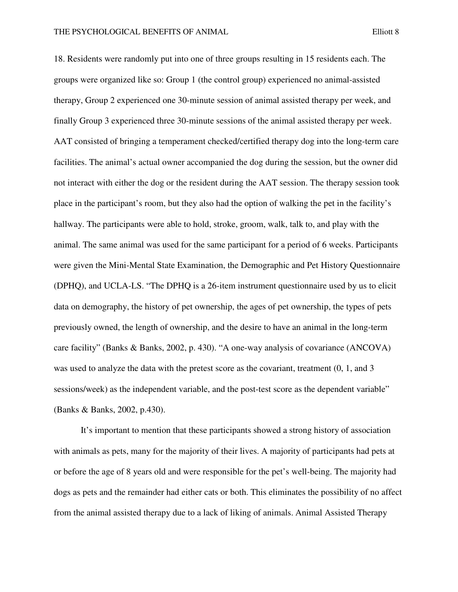18. Residents were randomly put into one of three groups resulting in 15 residents each. The groups were organized like so: Group 1 (the control group) experienced no animal-assisted therapy, Group 2 experienced one 30-minute session of animal assisted therapy per week, and finally Group 3 experienced three 30-minute sessions of the animal assisted therapy per week. AAT consisted of bringing a temperament checked/certified therapy dog into the long-term care facilities. The animal's actual owner accompanied the dog during the session, but the owner did not interact with either the dog or the resident during the AAT session. The therapy session took place in the participant's room, but they also had the option of walking the pet in the facility's hallway. The participants were able to hold, stroke, groom, walk, talk to, and play with the animal. The same animal was used for the same participant for a period of 6 weeks. Participants were given the Mini-Mental State Examination, the Demographic and Pet History Questionnaire (DPHQ), and UCLA-LS. "The DPHQ is a 26-item instrument questionnaire used by us to elicit data on demography, the history of pet ownership, the ages of pet ownership, the types of pets previously owned, the length of ownership, and the desire to have an animal in the long-term care facility" (Banks & Banks, 2002, p. 430). "A one-way analysis of covariance (ANCOVA) was used to analyze the data with the pretest score as the covariant, treatment  $(0, 1,$  and 3 sessions/week) as the independent variable, and the post-test score as the dependent variable" (Banks & Banks, 2002, p.430).

It's important to mention that these participants showed a strong history of association with animals as pets, many for the majority of their lives. A majority of participants had pets at or before the age of 8 years old and were responsible for the pet's well-being. The majority had dogs as pets and the remainder had either cats or both. This eliminates the possibility of no affect from the animal assisted therapy due to a lack of liking of animals. Animal Assisted Therapy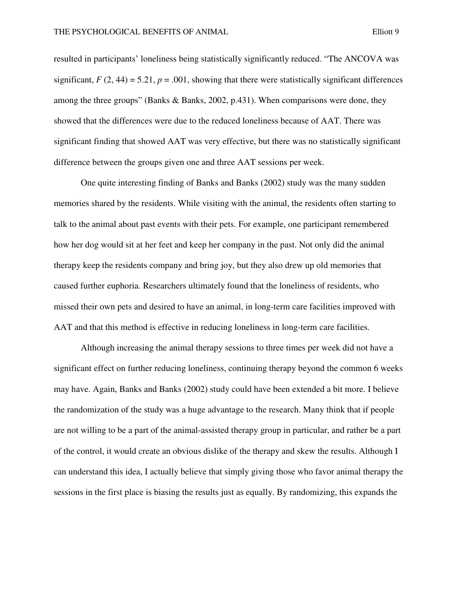resulted in participants' loneliness being statistically significantly reduced. "The ANCOVA was significant,  $F(2, 44) = 5.21$ ,  $p = .001$ , showing that there were statistically significant differences among the three groups" (Banks & Banks, 2002, p.431). When comparisons were done, they showed that the differences were due to the reduced loneliness because of AAT. There was significant finding that showed AAT was very effective, but there was no statistically significant difference between the groups given one and three AAT sessions per week.

One quite interesting finding of Banks and Banks (2002) study was the many sudden memories shared by the residents. While visiting with the animal, the residents often starting to talk to the animal about past events with their pets. For example, one participant remembered how her dog would sit at her feet and keep her company in the past. Not only did the animal therapy keep the residents company and bring joy, but they also drew up old memories that caused further euphoria. Researchers ultimately found that the loneliness of residents, who missed their own pets and desired to have an animal, in long-term care facilities improved with AAT and that this method is effective in reducing loneliness in long-term care facilities.

 Although increasing the animal therapy sessions to three times per week did not have a significant effect on further reducing loneliness, continuing therapy beyond the common 6 weeks may have. Again, Banks and Banks (2002) study could have been extended a bit more. I believe the randomization of the study was a huge advantage to the research. Many think that if people are not willing to be a part of the animal-assisted therapy group in particular, and rather be a part of the control, it would create an obvious dislike of the therapy and skew the results. Although I can understand this idea, I actually believe that simply giving those who favor animal therapy the sessions in the first place is biasing the results just as equally. By randomizing, this expands the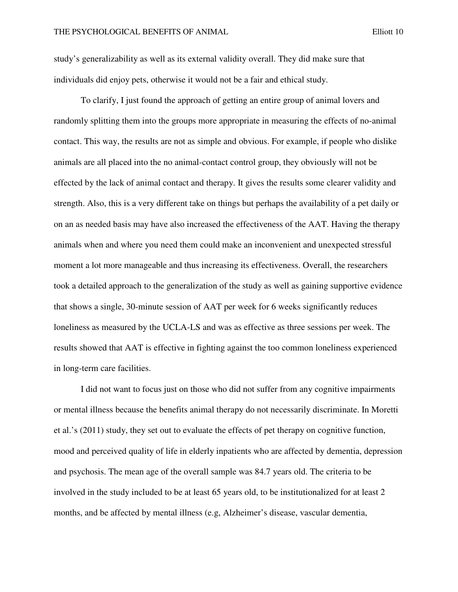study's generalizability as well as its external validity overall. They did make sure that individuals did enjoy pets, otherwise it would not be a fair and ethical study.

To clarify, I just found the approach of getting an entire group of animal lovers and randomly splitting them into the groups more appropriate in measuring the effects of no-animal contact. This way, the results are not as simple and obvious. For example, if people who dislike animals are all placed into the no animal-contact control group, they obviously will not be effected by the lack of animal contact and therapy. It gives the results some clearer validity and strength. Also, this is a very different take on things but perhaps the availability of a pet daily or on an as needed basis may have also increased the effectiveness of the AAT. Having the therapy animals when and where you need them could make an inconvenient and unexpected stressful moment a lot more manageable and thus increasing its effectiveness. Overall, the researchers took a detailed approach to the generalization of the study as well as gaining supportive evidence that shows a single, 30-minute session of AAT per week for 6 weeks significantly reduces loneliness as measured by the UCLA-LS and was as effective as three sessions per week. The results showed that AAT is effective in fighting against the too common loneliness experienced in long-term care facilities.

I did not want to focus just on those who did not suffer from any cognitive impairments or mental illness because the benefits animal therapy do not necessarily discriminate. In Moretti et al.'s (2011) study, they set out to evaluate the effects of pet therapy on cognitive function, mood and perceived quality of life in elderly inpatients who are affected by dementia, depression and psychosis. The mean age of the overall sample was 84.7 years old. The criteria to be involved in the study included to be at least 65 years old, to be institutionalized for at least 2 months, and be affected by mental illness (e.g, Alzheimer's disease, vascular dementia,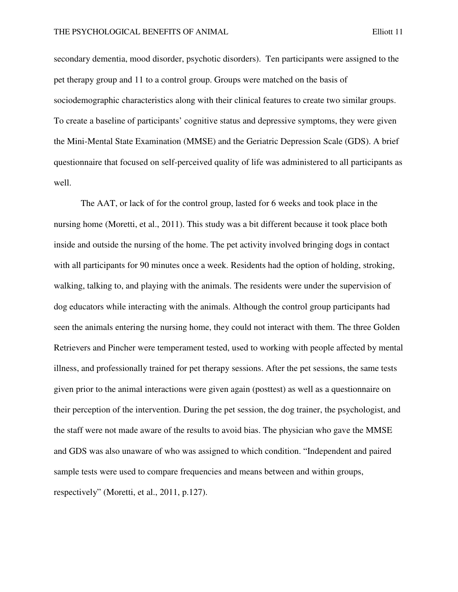secondary dementia, mood disorder, psychotic disorders). Ten participants were assigned to the pet therapy group and 11 to a control group. Groups were matched on the basis of sociodemographic characteristics along with their clinical features to create two similar groups. To create a baseline of participants' cognitive status and depressive symptoms, they were given the Mini-Mental State Examination (MMSE) and the Geriatric Depression Scale (GDS). A brief questionnaire that focused on self-perceived quality of life was administered to all participants as well.

The AAT, or lack of for the control group, lasted for 6 weeks and took place in the nursing home (Moretti, et al., 2011). This study was a bit different because it took place both inside and outside the nursing of the home. The pet activity involved bringing dogs in contact with all participants for 90 minutes once a week. Residents had the option of holding, stroking, walking, talking to, and playing with the animals. The residents were under the supervision of dog educators while interacting with the animals. Although the control group participants had seen the animals entering the nursing home, they could not interact with them. The three Golden Retrievers and Pincher were temperament tested, used to working with people affected by mental illness, and professionally trained for pet therapy sessions. After the pet sessions, the same tests given prior to the animal interactions were given again (posttest) as well as a questionnaire on their perception of the intervention. During the pet session, the dog trainer, the psychologist, and the staff were not made aware of the results to avoid bias. The physician who gave the MMSE and GDS was also unaware of who was assigned to which condition. "Independent and paired sample tests were used to compare frequencies and means between and within groups, respectively" (Moretti, et al., 2011, p.127).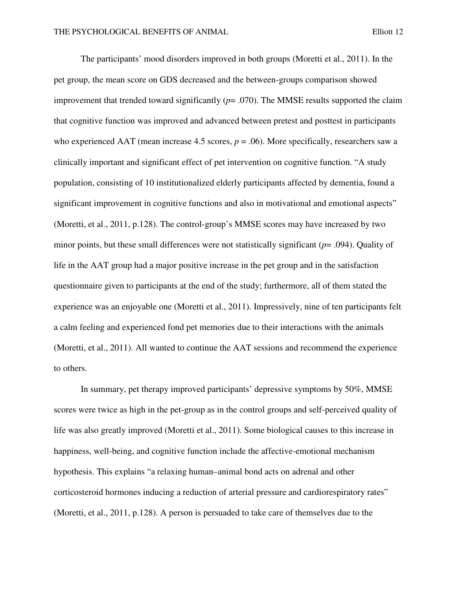The participants' mood disorders improved in both groups (Moretti et al., 2011). In the pet group, the mean score on GDS decreased and the between-groups comparison showed improvement that trended toward significantly  $(p=0.070)$ . The MMSE results supported the claim that cognitive function was improved and advanced between pretest and posttest in participants who experienced AAT (mean increase 4.5 scores,  $p = .06$ ). More specifically, researchers saw a clinically important and significant effect of pet intervention on cognitive function. "A study population, consisting of 10 institutionalized elderly participants affected by dementia, found a significant improvement in cognitive functions and also in motivational and emotional aspects" (Moretti, et al., 2011, p.128). The control-group's MMSE scores may have increased by two minor points, but these small differences were not statistically significant (*p*= .094). Quality of life in the AAT group had a major positive increase in the pet group and in the satisfaction questionnaire given to participants at the end of the study; furthermore, all of them stated the experience was an enjoyable one (Moretti et al., 2011). Impressively, nine of ten participants felt a calm feeling and experienced fond pet memories due to their interactions with the animals (Moretti, et al., 2011). All wanted to continue the AAT sessions and recommend the experience to others.

In summary, pet therapy improved participants' depressive symptoms by 50%, MMSE scores were twice as high in the pet-group as in the control groups and self-perceived quality of life was also greatly improved (Moretti et al., 2011). Some biological causes to this increase in happiness, well-being, and cognitive function include the affective-emotional mechanism hypothesis. This explains "a relaxing human–animal bond acts on adrenal and other corticosteroid hormones inducing a reduction of arterial pressure and cardiorespiratory rates" (Moretti, et al., 2011, p.128). A person is persuaded to take care of themselves due to the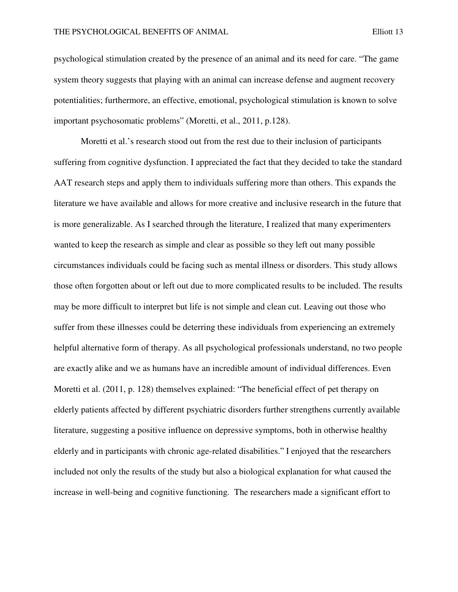psychological stimulation created by the presence of an animal and its need for care. "The game system theory suggests that playing with an animal can increase defense and augment recovery potentialities; furthermore, an effective, emotional, psychological stimulation is known to solve important psychosomatic problems" (Moretti, et al., 2011, p.128).

Moretti et al.'s research stood out from the rest due to their inclusion of participants suffering from cognitive dysfunction. I appreciated the fact that they decided to take the standard AAT research steps and apply them to individuals suffering more than others. This expands the literature we have available and allows for more creative and inclusive research in the future that is more generalizable. As I searched through the literature, I realized that many experimenters wanted to keep the research as simple and clear as possible so they left out many possible circumstances individuals could be facing such as mental illness or disorders. This study allows those often forgotten about or left out due to more complicated results to be included. The results may be more difficult to interpret but life is not simple and clean cut. Leaving out those who suffer from these illnesses could be deterring these individuals from experiencing an extremely helpful alternative form of therapy. As all psychological professionals understand, no two people are exactly alike and we as humans have an incredible amount of individual differences. Even Moretti et al. (2011, p. 128) themselves explained: "The beneficial effect of pet therapy on elderly patients affected by different psychiatric disorders further strengthens currently available literature, suggesting a positive influence on depressive symptoms, both in otherwise healthy elderly and in participants with chronic age-related disabilities." I enjoyed that the researchers included not only the results of the study but also a biological explanation for what caused the increase in well-being and cognitive functioning. The researchers made a significant effort to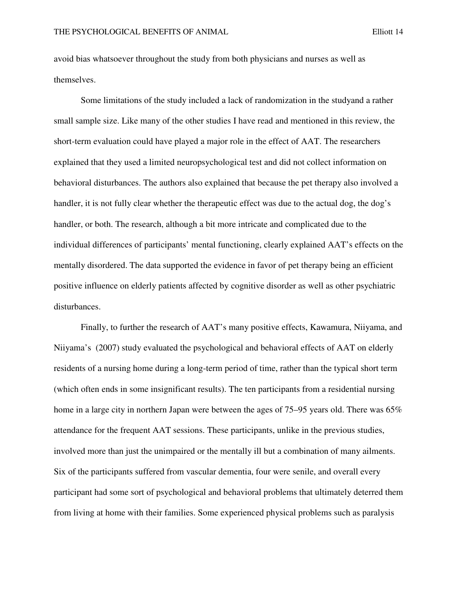avoid bias whatsoever throughout the study from both physicians and nurses as well as themselves.

Some limitations of the study included a lack of randomization in the studyand a rather small sample size. Like many of the other studies I have read and mentioned in this review, the short-term evaluation could have played a major role in the effect of AAT. The researchers explained that they used a limited neuropsychological test and did not collect information on behavioral disturbances. The authors also explained that because the pet therapy also involved a handler, it is not fully clear whether the therapeutic effect was due to the actual dog, the dog's handler, or both. The research, although a bit more intricate and complicated due to the individual differences of participants' mental functioning, clearly explained AAT's effects on the mentally disordered. The data supported the evidence in favor of pet therapy being an efficient positive influence on elderly patients affected by cognitive disorder as well as other psychiatric disturbances.

Finally, to further the research of AAT's many positive effects, Kawamura, Niiyama, and Niiyama's (2007) study evaluated the psychological and behavioral effects of AAT on elderly residents of a nursing home during a long-term period of time, rather than the typical short term (which often ends in some insignificant results). The ten participants from a residential nursing home in a large city in northern Japan were between the ages of 75–95 years old. There was 65% attendance for the frequent AAT sessions. These participants, unlike in the previous studies, involved more than just the unimpaired or the mentally ill but a combination of many ailments. Six of the participants suffered from vascular dementia, four were senile, and overall every participant had some sort of psychological and behavioral problems that ultimately deterred them from living at home with their families. Some experienced physical problems such as paralysis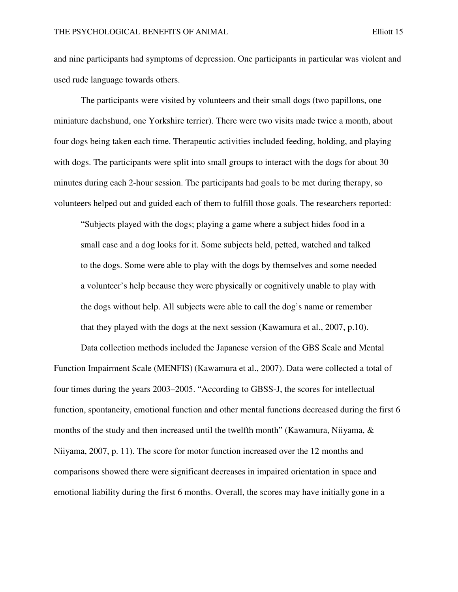and nine participants had symptoms of depression. One participants in particular was violent and used rude language towards others.

The participants were visited by volunteers and their small dogs (two papillons, one miniature dachshund, one Yorkshire terrier). There were two visits made twice a month, about four dogs being taken each time. Therapeutic activities included feeding, holding, and playing with dogs. The participants were split into small groups to interact with the dogs for about 30 minutes during each 2-hour session. The participants had goals to be met during therapy, so volunteers helped out and guided each of them to fulfill those goals. The researchers reported:

"Subjects played with the dogs; playing a game where a subject hides food in a small case and a dog looks for it. Some subjects held, petted, watched and talked to the dogs. Some were able to play with the dogs by themselves and some needed a volunteer's help because they were physically or cognitively unable to play with the dogs without help. All subjects were able to call the dog's name or remember that they played with the dogs at the next session (Kawamura et al., 2007, p.10).

Data collection methods included the Japanese version of the GBS Scale and Mental Function Impairment Scale (MENFIS) (Kawamura et al., 2007). Data were collected a total of four times during the years 2003–2005. "According to GBSS-J, the scores for intellectual function, spontaneity, emotional function and other mental functions decreased during the first 6 months of the study and then increased until the twelfth month" (Kawamura, Niiyama,  $\&$ Niiyama, 2007, p. 11). The score for motor function increased over the 12 months and comparisons showed there were significant decreases in impaired orientation in space and emotional liability during the first 6 months. Overall, the scores may have initially gone in a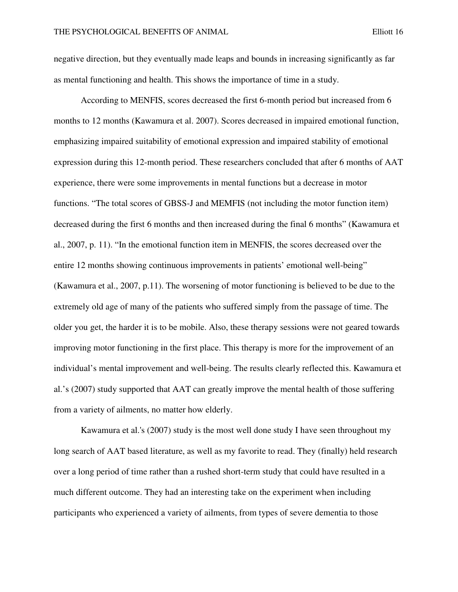negative direction, but they eventually made leaps and bounds in increasing significantly as far as mental functioning and health. This shows the importance of time in a study.

According to MENFIS, scores decreased the first 6-month period but increased from 6 months to 12 months (Kawamura et al. 2007). Scores decreased in impaired emotional function, emphasizing impaired suitability of emotional expression and impaired stability of emotional expression during this 12-month period. These researchers concluded that after 6 months of AAT experience, there were some improvements in mental functions but a decrease in motor functions. "The total scores of GBSS-J and MEMFIS (not including the motor function item) decreased during the first 6 months and then increased during the final 6 months" (Kawamura et al., 2007, p. 11). "In the emotional function item in MENFIS, the scores decreased over the entire 12 months showing continuous improvements in patients' emotional well-being" (Kawamura et al., 2007, p.11). The worsening of motor functioning is believed to be due to the extremely old age of many of the patients who suffered simply from the passage of time. The older you get, the harder it is to be mobile. Also, these therapy sessions were not geared towards improving motor functioning in the first place. This therapy is more for the improvement of an individual's mental improvement and well-being. The results clearly reflected this. Kawamura et al.'s (2007) study supported that AAT can greatly improve the mental health of those suffering from a variety of ailments, no matter how elderly.

Kawamura et al.'s (2007) study is the most well done study I have seen throughout my long search of AAT based literature, as well as my favorite to read. They (finally) held research over a long period of time rather than a rushed short-term study that could have resulted in a much different outcome. They had an interesting take on the experiment when including participants who experienced a variety of ailments, from types of severe dementia to those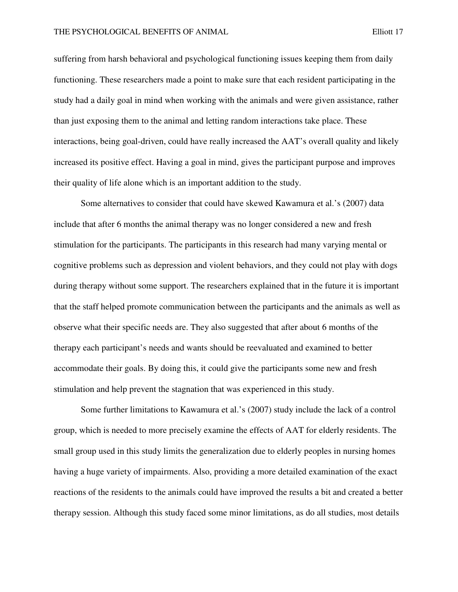suffering from harsh behavioral and psychological functioning issues keeping them from daily functioning. These researchers made a point to make sure that each resident participating in the study had a daily goal in mind when working with the animals and were given assistance, rather than just exposing them to the animal and letting random interactions take place. These interactions, being goal-driven, could have really increased the AAT's overall quality and likely increased its positive effect. Having a goal in mind, gives the participant purpose and improves their quality of life alone which is an important addition to the study.

Some alternatives to consider that could have skewed Kawamura et al.'s (2007) data include that after 6 months the animal therapy was no longer considered a new and fresh stimulation for the participants. The participants in this research had many varying mental or cognitive problems such as depression and violent behaviors, and they could not play with dogs during therapy without some support. The researchers explained that in the future it is important that the staff helped promote communication between the participants and the animals as well as observe what their specific needs are. They also suggested that after about 6 months of the therapy each participant's needs and wants should be reevaluated and examined to better accommodate their goals. By doing this, it could give the participants some new and fresh stimulation and help prevent the stagnation that was experienced in this study.

Some further limitations to Kawamura et al.'s (2007) study include the lack of a control group, which is needed to more precisely examine the effects of AAT for elderly residents. The small group used in this study limits the generalization due to elderly peoples in nursing homes having a huge variety of impairments. Also, providing a more detailed examination of the exact reactions of the residents to the animals could have improved the results a bit and created a better therapy session. Although this study faced some minor limitations, as do all studies, most details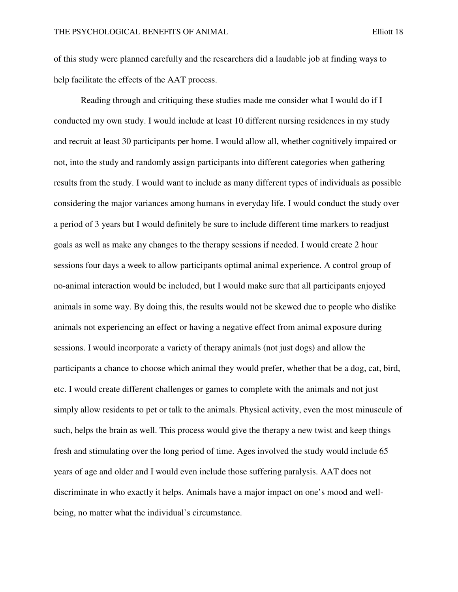of this study were planned carefully and the researchers did a laudable job at finding ways to help facilitate the effects of the AAT process.

 Reading through and critiquing these studies made me consider what I would do if I conducted my own study. I would include at least 10 different nursing residences in my study and recruit at least 30 participants per home. I would allow all, whether cognitively impaired or not, into the study and randomly assign participants into different categories when gathering results from the study. I would want to include as many different types of individuals as possible considering the major variances among humans in everyday life. I would conduct the study over a period of 3 years but I would definitely be sure to include different time markers to readjust goals as well as make any changes to the therapy sessions if needed. I would create 2 hour sessions four days a week to allow participants optimal animal experience. A control group of no-animal interaction would be included, but I would make sure that all participants enjoyed animals in some way. By doing this, the results would not be skewed due to people who dislike animals not experiencing an effect or having a negative effect from animal exposure during sessions. I would incorporate a variety of therapy animals (not just dogs) and allow the participants a chance to choose which animal they would prefer, whether that be a dog, cat, bird, etc. I would create different challenges or games to complete with the animals and not just simply allow residents to pet or talk to the animals. Physical activity, even the most minuscule of such, helps the brain as well. This process would give the therapy a new twist and keep things fresh and stimulating over the long period of time. Ages involved the study would include 65 years of age and older and I would even include those suffering paralysis. AAT does not discriminate in who exactly it helps. Animals have a major impact on one's mood and wellbeing, no matter what the individual's circumstance.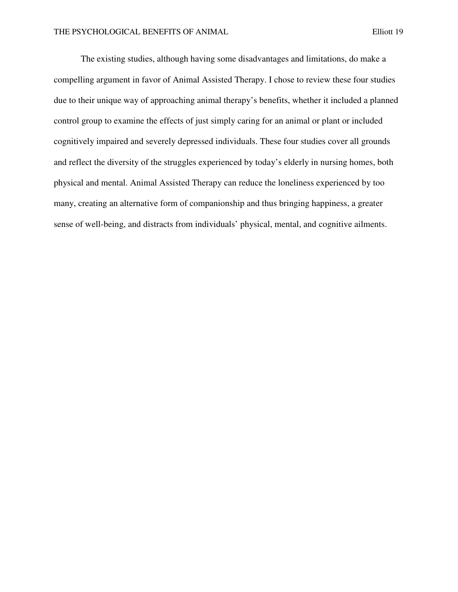The existing studies, although having some disadvantages and limitations, do make a compelling argument in favor of Animal Assisted Therapy. I chose to review these four studies due to their unique way of approaching animal therapy's benefits, whether it included a planned control group to examine the effects of just simply caring for an animal or plant or included cognitively impaired and severely depressed individuals. These four studies cover all grounds and reflect the diversity of the struggles experienced by today's elderly in nursing homes, both physical and mental. Animal Assisted Therapy can reduce the loneliness experienced by too many, creating an alternative form of companionship and thus bringing happiness, a greater sense of well-being, and distracts from individuals' physical, mental, and cognitive ailments.